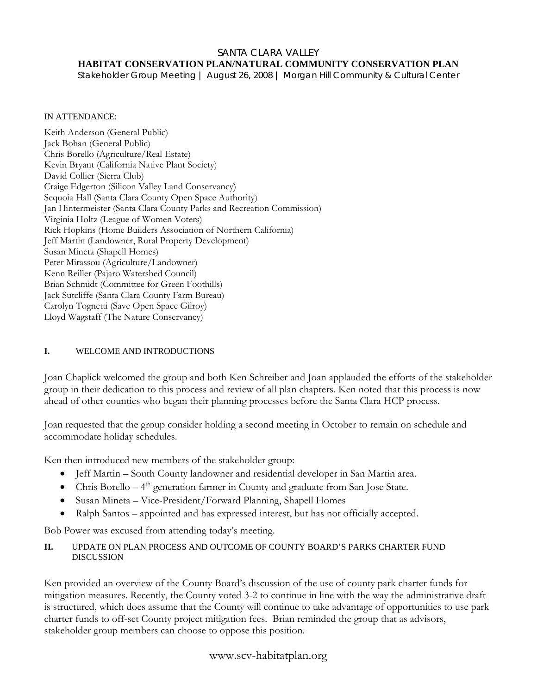#### SANTA CLARA VALLEY **HABITAT CONSERVATION PLAN/NATURAL COMMUNITY CONSERVATION PLAN**

*Stakeholder Group Meeting | August 26, 2008 | Morgan Hill Community & Cultural Center* 

#### IN ATTENDANCE:

Keith Anderson (General Public) Jack Bohan (General Public) Chris Borello (Agriculture/Real Estate) Kevin Bryant (California Native Plant Society) David Collier (Sierra Club) Craige Edgerton (Silicon Valley Land Conservancy) Sequoia Hall (Santa Clara County Open Space Authority) Jan Hintermeister (Santa Clara County Parks and Recreation Commission) Virginia Holtz (League of Women Voters) Rick Hopkins (Home Builders Association of Northern California) Jeff Martin (Landowner, Rural Property Development) Susan Mineta (Shapell Homes) Peter Mirassou (Agriculture/Landowner) Kenn Reiller (Pajaro Watershed Council) Brian Schmidt (Committee for Green Foothills) Jack Sutcliffe (Santa Clara County Farm Bureau) Carolyn Tognetti (Save Open Space Gilroy) Lloyd Wagstaff (The Nature Conservancy)

#### **I.** WELCOME AND INTRODUCTIONS

Joan Chaplick welcomed the group and both Ken Schreiber and Joan applauded the efforts of the stakeholder group in their dedication to this process and review of all plan chapters. Ken noted that this process is now ahead of other counties who began their planning processes before the Santa Clara HCP process.

Joan requested that the group consider holding a second meeting in October to remain on schedule and accommodate holiday schedules.

Ken then introduced new members of the stakeholder group:

- Jeff Martin South County landowner and residential developer in San Martin area.
- Chris Borello  $-4<sup>th</sup>$  generation farmer in County and graduate from San Jose State.
- Susan Mineta Vice-President/Forward Planning, Shapell Homes
- Ralph Santos appointed and has expressed interest, but has not officially accepted.

Bob Power was excused from attending today's meeting.

#### **II.** UPDATE ON PLAN PROCESS AND OUTCOME OF COUNTY BOARD'S PARKS CHARTER FUND DISCUSSION

Ken provided an overview of the County Board's discussion of the use of county park charter funds for mitigation measures. Recently, the County voted 3-2 to continue in line with the way the administrative draft is structured, which does assume that the County will continue to take advantage of opportunities to use park charter funds to off-set County project mitigation fees. Brian reminded the group that as advisors, stakeholder group members can choose to oppose this position.

## www.scv-habitatplan.org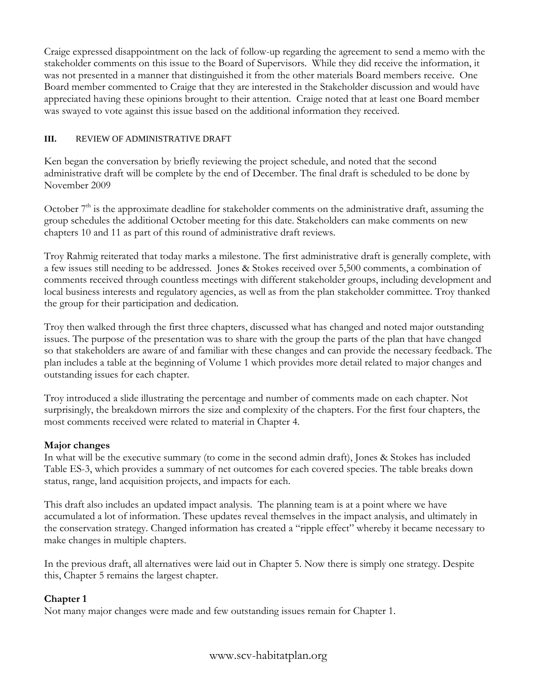Craige expressed disappointment on the lack of follow-up regarding the agreement to send a memo with the stakeholder comments on this issue to the Board of Supervisors. While they did receive the information, it was not presented in a manner that distinguished it from the other materials Board members receive. One Board member commented to Craige that they are interested in the Stakeholder discussion and would have appreciated having these opinions brought to their attention. Craige noted that at least one Board member was swayed to vote against this issue based on the additional information they received.

#### **III.** REVIEW OF ADMINISTRATIVE DRAFT

Ken began the conversation by briefly reviewing the project schedule, and noted that the second administrative draft will be complete by the end of December. The final draft is scheduled to be done by November 2009

October  $7<sup>th</sup>$  is the approximate deadline for stakeholder comments on the administrative draft, assuming the group schedules the additional October meeting for this date. Stakeholders can make comments on new chapters 10 and 11 as part of this round of administrative draft reviews.

Troy Rahmig reiterated that today marks a milestone. The first administrative draft is generally complete, with a few issues still needing to be addressed. Jones & Stokes received over 5,500 comments, a combination of comments received through countless meetings with different stakeholder groups, including development and local business interests and regulatory agencies, as well as from the plan stakeholder committee. Troy thanked the group for their participation and dedication.

Troy then walked through the first three chapters, discussed what has changed and noted major outstanding issues. The purpose of the presentation was to share with the group the parts of the plan that have changed so that stakeholders are aware of and familiar with these changes and can provide the necessary feedback. The plan includes a table at the beginning of Volume 1 which provides more detail related to major changes and outstanding issues for each chapter.

Troy introduced a slide illustrating the percentage and number of comments made on each chapter. Not surprisingly, the breakdown mirrors the size and complexity of the chapters. For the first four chapters, the most comments received were related to material in Chapter 4.

## **Major changes**

In what will be the executive summary (to come in the second admin draft), Jones & Stokes has included Table ES-3, which provides a summary of net outcomes for each covered species. The table breaks down status, range, land acquisition projects, and impacts for each.

This draft also includes an updated impact analysis. The planning team is at a point where we have accumulated a lot of information. These updates reveal themselves in the impact analysis, and ultimately in the conservation strategy. Changed information has created a "ripple effect" whereby it became necessary to make changes in multiple chapters.

In the previous draft, all alternatives were laid out in Chapter 5. Now there is simply one strategy. Despite this, Chapter 5 remains the largest chapter.

## **Chapter 1**

Not many major changes were made and few outstanding issues remain for Chapter 1.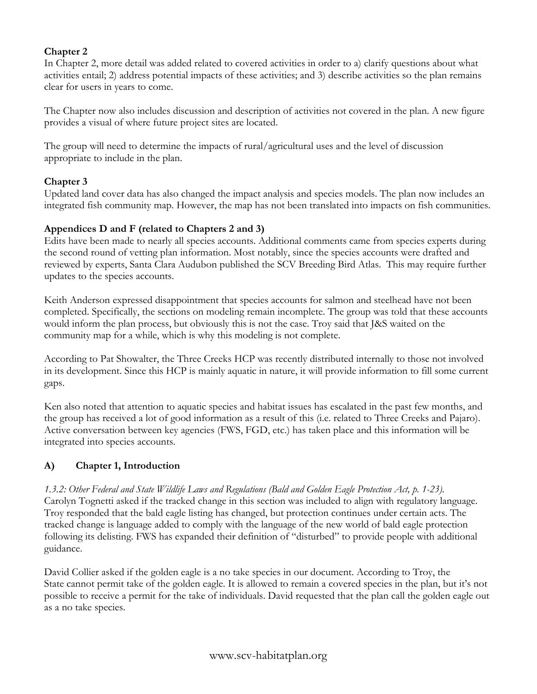## **Chapter 2**

In Chapter 2, more detail was added related to covered activities in order to a) clarify questions about what activities entail; 2) address potential impacts of these activities; and 3) describe activities so the plan remains clear for users in years to come.

The Chapter now also includes discussion and description of activities not covered in the plan. A new figure provides a visual of where future project sites are located.

The group will need to determine the impacts of rural/agricultural uses and the level of discussion appropriate to include in the plan.

#### **Chapter 3**

Updated land cover data has also changed the impact analysis and species models. The plan now includes an integrated fish community map. However, the map has not been translated into impacts on fish communities.

#### **Appendices D and F (related to Chapters 2 and 3)**

Edits have been made to nearly all species accounts. Additional comments came from species experts during the second round of vetting plan information. Most notably, since the species accounts were drafted and reviewed by experts, Santa Clara Audubon published the SCV Breeding Bird Atlas. This may require further updates to the species accounts.

Keith Anderson expressed disappointment that species accounts for salmon and steelhead have not been completed. Specifically, the sections on modeling remain incomplete. The group was told that these accounts would inform the plan process, but obviously this is not the case. Troy said that J&S waited on the community map for a while, which is why this modeling is not complete.

According to Pat Showalter, the Three Creeks HCP was recently distributed internally to those not involved in its development. Since this HCP is mainly aquatic in nature, it will provide information to fill some current gaps.

Ken also noted that attention to aquatic species and habitat issues has escalated in the past few months, and the group has received a lot of good information as a result of this (i.e. related to Three Creeks and Pajaro). Active conversation between key agencies (FWS, FGD, etc.) has taken place and this information will be integrated into species accounts.

## **A) Chapter 1, Introduction**

*1.3.2: Other Federal and State Wildlife Laws and Regulations (Bald and Golden Eagle Protection Act, p. 1-23).*  Carolyn Tognetti asked if the tracked change in this section was included to align with regulatory language. Troy responded that the bald eagle listing has changed, but protection continues under certain acts. The tracked change is language added to comply with the language of the new world of bald eagle protection following its delisting. FWS has expanded their definition of "disturbed" to provide people with additional guidance.

David Collier asked if the golden eagle is a no take species in our document. According to Troy, the State cannot permit take of the golden eagle. It is allowed to remain a covered species in the plan, but it's not possible to receive a permit for the take of individuals. David requested that the plan call the golden eagle out as a no take species.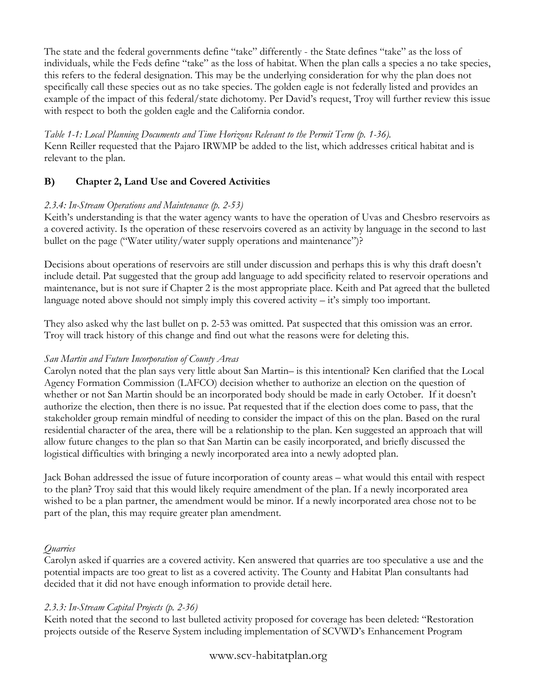The state and the federal governments define "take" differently - the State defines "take" as the loss of individuals, while the Feds define "take" as the loss of habitat. When the plan calls a species a no take species, this refers to the federal designation. This may be the underlying consideration for why the plan does not specifically call these species out as no take species. The golden eagle is not federally listed and provides an example of the impact of this federal/state dichotomy. Per David's request, Troy will further review this issue with respect to both the golden eagle and the California condor.

#### *Table 1-1: Local Planning Documents and Time Horizons Relevant to the Permit Term (p. 1-36).*

Kenn Reiller requested that the Pajaro IRWMP be added to the list, which addresses critical habitat and is relevant to the plan.

# **B) Chapter 2, Land Use and Covered Activities**

#### *2.3.4: In-Stream Operations and Maintenance (p. 2-53)*

Keith's understanding is that the water agency wants to have the operation of Uvas and Chesbro reservoirs as a covered activity. Is the operation of these reservoirs covered as an activity by language in the second to last bullet on the page ("Water utility/water supply operations and maintenance")?

Decisions about operations of reservoirs are still under discussion and perhaps this is why this draft doesn't include detail. Pat suggested that the group add language to add specificity related to reservoir operations and maintenance, but is not sure if Chapter 2 is the most appropriate place. Keith and Pat agreed that the bulleted language noted above should not simply imply this covered activity – it's simply too important.

They also asked why the last bullet on p. 2-53 was omitted. Pat suspected that this omission was an error. Troy will track history of this change and find out what the reasons were for deleting this.

## *San Martin and Future Incorporation of County Areas*

Carolyn noted that the plan says very little about San Martin– is this intentional? Ken clarified that the Local Agency Formation Commission (LAFCO) decision whether to authorize an election on the question of whether or not San Martin should be an incorporated body should be made in early October. If it doesn't authorize the election, then there is no issue. Pat requested that if the election does come to pass, that the stakeholder group remain mindful of needing to consider the impact of this on the plan. Based on the rural residential character of the area, there will be a relationship to the plan. Ken suggested an approach that will allow future changes to the plan so that San Martin can be easily incorporated, and briefly discussed the logistical difficulties with bringing a newly incorporated area into a newly adopted plan.

Jack Bohan addressed the issue of future incorporation of county areas – what would this entail with respect to the plan? Troy said that this would likely require amendment of the plan. If a newly incorporated area wished to be a plan partner, the amendment would be minor. If a newly incorporated area chose not to be part of the plan, this may require greater plan amendment.

## *Quarries*

Carolyn asked if quarries are a covered activity. Ken answered that quarries are too speculative a use and the potential impacts are too great to list as a covered activity. The County and Habitat Plan consultants had decided that it did not have enough information to provide detail here.

## *2.3.3: In-Stream Capital Projects (p. 2-36)*

Keith noted that the second to last bulleted activity proposed for coverage has been deleted: "Restoration projects outside of the Reserve System including implementation of SCVWD's Enhancement Program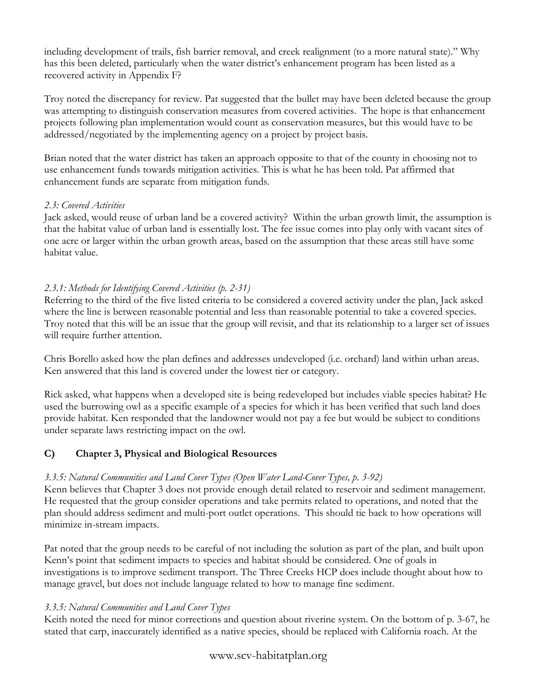including development of trails, fish barrier removal, and creek realignment (to a more natural state)." Why has this been deleted, particularly when the water district's enhancement program has been listed as a recovered activity in Appendix F?

Troy noted the discrepancy for review. Pat suggested that the bullet may have been deleted because the group was attempting to distinguish conservation measures from covered activities. The hope is that enhancement projects following plan implementation would count as conservation measures, but this would have to be addressed/negotiated by the implementing agency on a project by project basis.

Brian noted that the water district has taken an approach opposite to that of the county in choosing not to use enhancement funds towards mitigation activities. This is what he has been told. Pat affirmed that enhancement funds are separate from mitigation funds.

#### *2.3: Covered Activities*

Jack asked, would reuse of urban land be a covered activity? Within the urban growth limit, the assumption is that the habitat value of urban land is essentially lost. The fee issue comes into play only with vacant sites of one acre or larger within the urban growth areas, based on the assumption that these areas still have some habitat value.

## *2.3.1: Methods for Identifying Covered Activities (p. 2-31)*

Referring to the third of the five listed criteria to be considered a covered activity under the plan, Jack asked where the line is between reasonable potential and less than reasonable potential to take a covered species. Troy noted that this will be an issue that the group will revisit, and that its relationship to a larger set of issues will require further attention.

Chris Borello asked how the plan defines and addresses undeveloped (i.e. orchard) land within urban areas. Ken answered that this land is covered under the lowest tier or category.

Rick asked, what happens when a developed site is being redeveloped but includes viable species habitat? He used the burrowing owl as a specific example of a species for which it has been verified that such land does provide habitat. Ken responded that the landowner would not pay a fee but would be subject to conditions under separate laws restricting impact on the owl.

## **C) Chapter 3, Physical and Biological Resources**

## *3.3.5: Natural Communities and Land Cover Types (Open Water Land-Cover Types, p. 3-92)*

Kenn believes that Chapter 3 does not provide enough detail related to reservoir and sediment management. He requested that the group consider operations and take permits related to operations, and noted that the plan should address sediment and multi-port outlet operations. This should tie back to how operations will minimize in-stream impacts.

Pat noted that the group needs to be careful of not including the solution as part of the plan, and built upon Kenn's point that sediment impacts to species and habitat should be considered. One of goals in investigations is to improve sediment transport. The Three Creeks HCP does include thought about how to manage gravel, but does not include language related to how to manage fine sediment.

## *3.3.5: Natural Communities and Land Cover Types*

Keith noted the need for minor corrections and question about riverine system. On the bottom of p. 3-67, he stated that carp, inaccurately identified as a native species, should be replaced with California roach. At the

## www.scv-habitatplan.org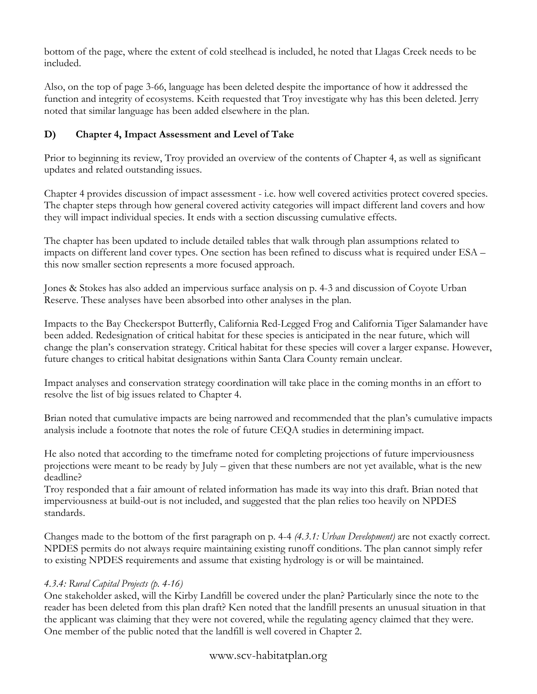bottom of the page, where the extent of cold steelhead is included, he noted that Llagas Creek needs to be included.

Also, on the top of page 3-66, language has been deleted despite the importance of how it addressed the function and integrity of ecosystems. Keith requested that Troy investigate why has this been deleted. Jerry noted that similar language has been added elsewhere in the plan.

# **D) Chapter 4, Impact Assessment and Level of Take**

Prior to beginning its review, Troy provided an overview of the contents of Chapter 4, as well as significant updates and related outstanding issues.

Chapter 4 provides discussion of impact assessment - i.e. how well covered activities protect covered species. The chapter steps through how general covered activity categories will impact different land covers and how they will impact individual species. It ends with a section discussing cumulative effects.

The chapter has been updated to include detailed tables that walk through plan assumptions related to impacts on different land cover types. One section has been refined to discuss what is required under ESA – this now smaller section represents a more focused approach.

Jones & Stokes has also added an impervious surface analysis on p. 4-3 and discussion of Coyote Urban Reserve. These analyses have been absorbed into other analyses in the plan.

Impacts to the Bay Checkerspot Butterfly, California Red-Legged Frog and California Tiger Salamander have been added. Redesignation of critical habitat for these species is anticipated in the near future, which will change the plan's conservation strategy. Critical habitat for these species will cover a larger expanse. However, future changes to critical habitat designations within Santa Clara County remain unclear.

Impact analyses and conservation strategy coordination will take place in the coming months in an effort to resolve the list of big issues related to Chapter 4.

Brian noted that cumulative impacts are being narrowed and recommended that the plan's cumulative impacts analysis include a footnote that notes the role of future CEQA studies in determining impact.

He also noted that according to the timeframe noted for completing projections of future imperviousness projections were meant to be ready by July – given that these numbers are not yet available, what is the new deadline?

Troy responded that a fair amount of related information has made its way into this draft. Brian noted that imperviousness at build-out is not included, and suggested that the plan relies too heavily on NPDES standards.

Changes made to the bottom of the first paragraph on p. 4-4 *(4.3.1: Urban Development)* are not exactly correct. NPDES permits do not always require maintaining existing runoff conditions. The plan cannot simply refer to existing NPDES requirements and assume that existing hydrology is or will be maintained.

# *4.3.4: Rural Capital Projects (p. 4-16)*

One stakeholder asked, will the Kirby Landfill be covered under the plan? Particularly since the note to the reader has been deleted from this plan draft? Ken noted that the landfill presents an unusual situation in that the applicant was claiming that they were not covered, while the regulating agency claimed that they were. One member of the public noted that the landfill is well covered in Chapter 2.

# www.scv-habitatplan.org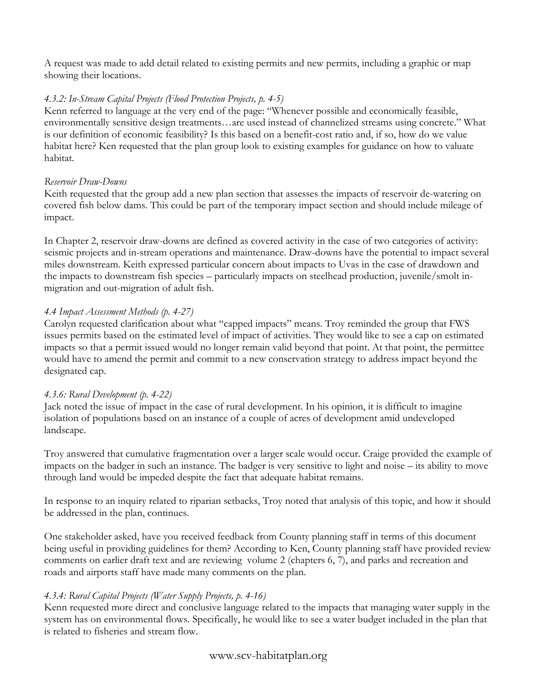A request was made to add detail related to existing permits and new permits, including a graphic or map showing their locations.

## *4.3.2: In-Stream Capital Projects (Flood Protection Projects, p. 4-5)*

Kenn referred to language at the very end of the page: "Whenever possible and economically feasible, environmentally sensitive design treatments…are used instead of channelized streams using concrete." What is our definition of economic feasibility? Is this based on a benefit-cost ratio and, if so, how do we value habitat here? Ken requested that the plan group look to existing examples for guidance on how to valuate habitat.

## *Reservoir Draw-Downs*

Keith requested that the group add a new plan section that assesses the impacts of reservoir de-watering on covered fish below dams. This could be part of the temporary impact section and should include mileage of impact.

In Chapter 2, reservoir draw-downs are defined as covered activity in the case of two categories of activity: seismic projects and in-stream operations and maintenance. Draw-downs have the potential to impact several miles downstream. Keith expressed particular concern about impacts to Uvas in the case of drawdown and the impacts to downstream fish species – particularly impacts on steelhead production, juvenile/smolt inmigration and out-migration of adult fish.

## *4.4 Impact Assessment Methods (p. 4-27)*

Carolyn requested clarification about what "capped impacts" means. Troy reminded the group that FWS issues permits based on the estimated level of impact of activities. They would like to see a cap on estimated impacts so that a permit issued would no longer remain valid beyond that point. At that point, the permittee would have to amend the permit and commit to a new conservation strategy to address impact beyond the designated cap.

## *4.3.6: Rural Development (p. 4-22)*

Jack noted the issue of impact in the case of rural development. In his opinion, it is difficult to imagine isolation of populations based on an instance of a couple of acres of development amid undeveloped landscape.

Troy answered that cumulative fragmentation over a larger scale would occur. Craige provided the example of impacts on the badger in such an instance. The badger is very sensitive to light and noise – its ability to move through land would be impeded despite the fact that adequate habitat remains.

In response to an inquiry related to riparian setbacks, Troy noted that analysis of this topic, and how it should be addressed in the plan, continues.

One stakeholder asked, have you received feedback from County planning staff in terms of this document being useful in providing guidelines for them? According to Ken, County planning staff have provided review comments on earlier draft text and are reviewing volume 2 (chapters 6, 7), and parks and recreation and roads and airports staff have made many comments on the plan.

## *4.3.4: Rural Capital Projects (Water Supply Projects, p. 4-16)*

Kenn requested more direct and conclusive language related to the impacts that managing water supply in the system has on environmental flows. Specifically, he would like to see a water budget included in the plan that is related to fisheries and stream flow.